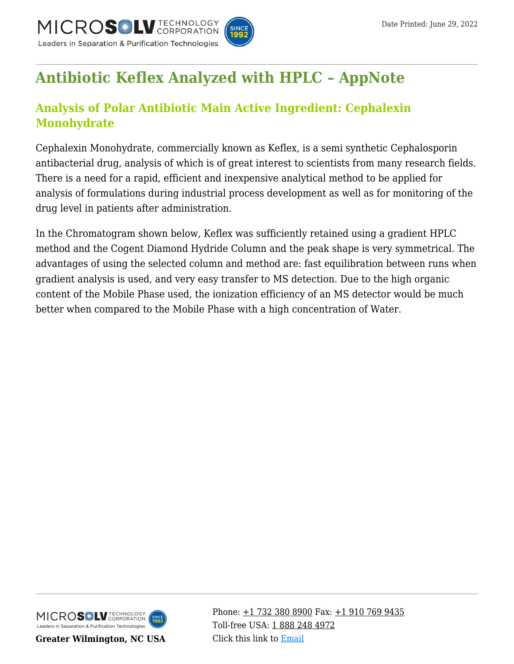

# **[Antibiotic Keflex Analyzed with HPLC – AppNote](https://kb.mtc-usa.com/article/aa-03585/46/)**

## **Analysis of Polar Antibiotic Main Active Ingredient: Cephalexin Monohydrate**

Cephalexin Monohydrate, commercially known as Keflex, is a semi synthetic Cephalosporin antibacterial drug, analysis of which is of great interest to scientists from many research fields. There is a need for a rapid, efficient and inexpensive analytical method to be applied for analysis of formulations during industrial process development as well as for monitoring of the drug level in patients after administration.

In the Chromatogram shown below, Keflex was sufficiently retained using a gradient HPLC method and the Cogent Diamond Hydride Column and the peak shape is very symmetrical. The advantages of using the selected column and method are: fast equilibration between runs when gradient analysis is used, and very easy transfer to MS detection. Due to the high organic content of the Mobile Phase used, the ionization efficiency of an MS detector would be much better when compared to the Mobile Phase with a high concentration of Water.



**Greater Wilmington, NC USA**

Phone:  $\pm$ 1 732 380 8900 Fax:  $\pm$ 1 910 769 9435 Toll-free USA: [1 888 248 4972](#page--1-0) Click this link to [Email](https://www.mtc-usa.com/contact)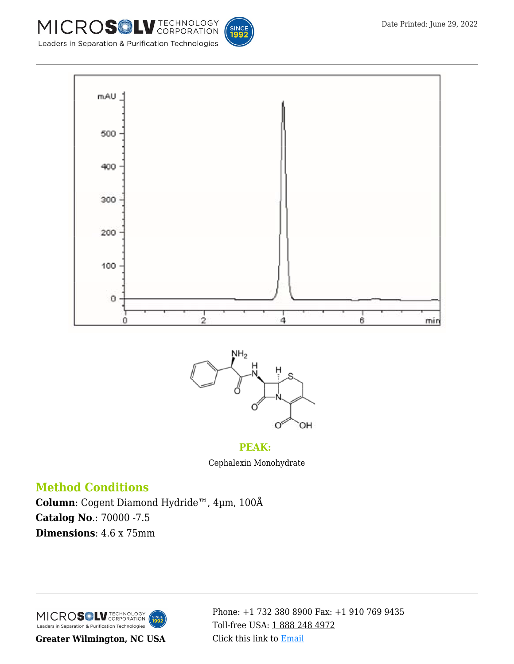









#### **PEAK:**

Cephalexin Monohydrate

## **Method Conditions**

**Column**: Cogent Diamond Hydride™, 4µm, 100Å **Catalog No**.: 70000 -7.5 **Dimensions**: 4.6 x 75mm



**Greater Wilmington, NC USA**

Phone: [+1 732 380 8900](#page--1-0) Fax: [+1 910 769 9435](#page--1-0) Toll-free USA: [1 888 248 4972](#page--1-0) Click this link to [Email](https://www.mtc-usa.com/contact)